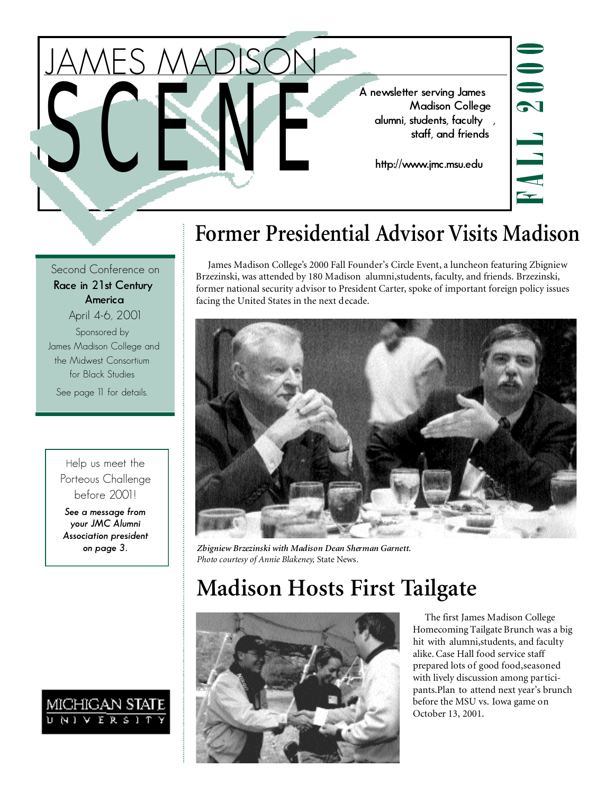A newsletter serving James<br>Madison Colleg<br>Interpedition of the Madison Colleg<br>Staff, and friend<br>http://www.jmc.msu.edu **Madison College alumni, students, faculty , staff, and friends**

**http://www.jmc.msu.edu**



# **Former Presidential Advisor Visits Madison**

James Madison College's 2000 Fall Founder's Circle Event, a luncheon featuring Zbigniew Brzezinski, was attended by 180 Madison alumni,students, faculty, and friends. Brzezinski, former national security advisor to President Carter, spoke of important foreign policy issues facing the United States in the next decade.



*on page 3. Zbigniew Brzezinski with Madison Dean Sherman Garnett. Photo courtesy of Annie Blakeney,* State News*.*

# **Madison Hosts First Tailgate**



The first James Madison College Homecoming Tailgate Brunch was a big hit with alumni,students, and faculty alike. Case Hall food service staff prepared lots of good food,seasoned with lively discussion among participants.Plan to attend next year's brunch before the MSU vs. Iowa game on October 13, 2001.

Second Conference on **Race in 21st Century America** April 4-6, 2001

JAMES MADISON

Sponsored by James Madison College and the Midwest Consortium for Black Studies

See page 11 for details.

Help us meet the Porteous Challenge before 2001!

*See a message from your JMC Alumni Association president* 

# MICHIGAN STAT<br>Universit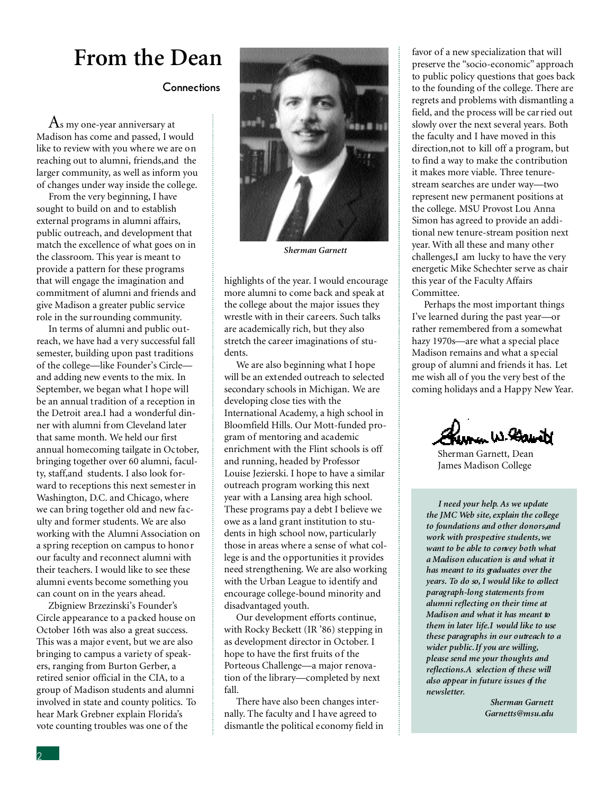## **From the Dean**

#### **Connections**

 $\rm A$ s my one-year anniversary at Madison has come and passed, I would like to review with you where we are on reaching out to alumni, friends,and the larger community, as well as inform you of changes under way inside the college.

From the very beginning, I have sought to build on and to establish external programs in alumni affairs, public outreach, and development that match the excellence of what goes on in the classroom. This year is meant to provide a pattern for these programs that will engage the imagination and commitment of alumni and friends and give Madison a greater public service role in the surrounding community.

In terms of alumni and public outreach, we have had a very successful fall semester, building upon past traditions of the college—like Founder's Circle and adding new events to the mix. In September, we began what I hope will be an annual tradition of a reception in the Detroit area.I had a wonderful dinner with alumni from Cleveland later that same month. We held our first annual homecoming tailgate in October, bringing together over 60 alumni, faculty, staff,and students. I also look forward to receptions this next semester in Washington, D.C. and Chicago, where we can bring together old and new faculty and former students. We are also working with the Alumni Association on a spring reception on campus to honor our faculty and reconnect alumni with their teachers. I would like to see these alumni events become something you can count on in the years ahead.

Zbigniew Brzezinski's Founder's Circle appearance to a packed house on October 16th was also a great success. This was a major event, but we are also bringing to campus a variety of speakers, ranging from Burton Gerber, a retired senior official in the CIA, to a group of Madison students and alumni involved in state and county politics. To hear Mark Grebner explain Florida's vote counting troubles was one of the



*Sherman Garnett*

highlights of the year. I would encourage more alumni to come back and speak at the college about the major issues they wrestle with in their careers. Such talks are academically rich, but they also stretch the career imaginations of students.

We are also beginning what I hope will be an extended outreach to selected secondary schools in Michigan. We are developing close ties with the International Academy, a high school in Bloomfield Hills. Our Mott-funded program of mentoring and academic enrichment with the Flint schools is off and running, headed by Professor Louise Jezierski. I hope to have a similar outreach program working this next year with a Lansing area high school. These programs pay a debt I believe we owe as a land grant institution to students in high school now, particularly those in areas where a sense of what college is and the opportunities it provides need strengthening. We are also working with the Urban League to identify and encourage college-bound minority and disadvantaged youth.

Our development efforts continue, with Rocky Beckett (IR '86) stepping in as development director in October. I hope to have the first fruits of the Porteous Challenge—a major renovation of the library—completed by next fall.

There have also been changes internally. The faculty and I have agreed to dismantle the political economy field in favor of a new specialization that will preserve the "socio-economic" approach to public policy questions that goes back to the founding of the college. There are regrets and problems with dismantling a field, and the process will be car ried out slowly over the next several years. Both the faculty and I have moved in this direction,not to kill off a program, but to find a way to make the contribution it makes more viable. Three tenurestream searches are under way—two represent new permanent positions at the college. MSU Provost Lou Anna Simon has agreed to provide an additional new tenure-stream position next year. With all these and many other challenges,I am lucky to have the very energetic Mike Schechter serve as chair this year of the Faculty Affairs Committee.

Perhaps the most important things I've learned during the past year—or rather remembered from a somewhat hazy 1970s—are what a special place Madison remains and what a special group of alumni and friends it has. Let me wish all of you the very best of the coming holidays and a Happy New Year.

Jerman W. Barbatt

Sherman Garnett, Dean James Madison College

*I need your help. As we update the JMC Web site, explain the college to foundations and other donors,and work with prospective students,we want to be able to convey both what a Madison education is and what it has meant to its graduates over the years. To do so, I would like to collect paragraph-long statements from alumni reflecting on their time at Madison and what it has meant to them in later life.I would like to use these paragraphs in our outreach to a wider public.If you are willing, please send me your thoughts and reflections.A selection of these will also appear in future issues of the newsletter.*

> *Sherman Garnett Garnetts@msu.edu*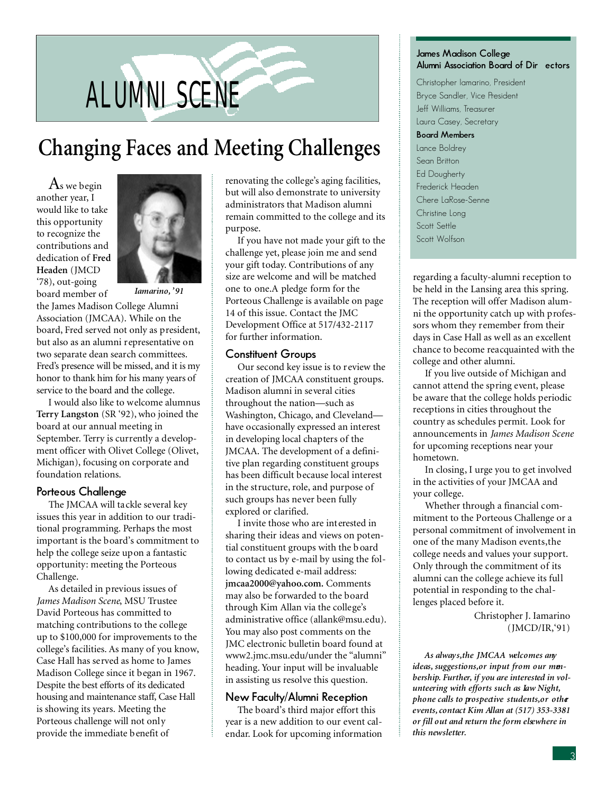# ALUMNI SCENE

# **Changing Faces and Meeting Challenges**

 $\rm A$ s we begin another year, I would like to take this opportunity to recognize the contributions and dedication of **Fred Headen** (JMCD '78), out-going board member of



*Iamarino, '91*

the James Madison College Alumni Association (JMCAA). While on the board, Fred served not only as president, but also as an alumni representative on two separate dean search committees. Fred's presence will be missed, and it is my honor to thank him for his many years of service to the board and the college.

I would also like to welcome alumnus **Terry Langston** (SR '92), who joined the board at our annual meeting in September. Terry is currently a development officer with Olivet College (Olivet, Michigan), focusing on corporate and foundation relations.

#### **Porteous Challenge**

The JMCAA will tackle several key issues this year in addition to our traditional programming. Perhaps the most important is the board's commitment to help the college seize upon a fantastic opportunity: meeting the Porteous Challenge.

As detailed in previous issues of *James Madison Scene*, MSU Trustee David Porteous has committed to matching contributions to the college up to \$100,000 for improvements to the college's facilities. As many of you know, Case Hall has served as home to James Madison College since it began in 1967. Despite the best efforts of its dedicated housing and maintenance staff, Case Hall is showing its years. Meeting the Porteous challenge will not only provide the immediate benefit of

renovating the college's aging facilities, but will also demonstrate to university administrators that Madison alumni remain committed to the college and its purpose.

If you have not made your gift to the challenge yet, please join me and send your gift today. Contributions of any size are welcome and will be matched one to one.A pledge form for the Porteous Challenge is available on page 14 of this issue. Contact the JMC Development Office at 517/432-2117 for further information.

#### **Constituent Groups**

Our second key issue is to review the creation of JMCAA constituent groups. Madison alumni in several cities throughout the nation—such as Washington, Chicago, and Cleveland have occasionally expressed an interest in developing local chapters of the JMCAA. The development of a definitive plan regarding constituent groups has been difficult because local interest in the structure, role, and purpose of such groups has never been fully explored or clarified.

I invite those who are interested in sharing their ideas and views on potential constituent groups with the b oard to contact us by e-mail by using the following dedicated e-mail address: **jmcaa2000@yahoo.com.** Comments may also be forwarded to the board through Kim Allan via the college's administrative office (allank@msu.edu). You may also post comments on the JMC electronic bulletin board found at www2.jmc.msu.edu/under the "alumni" heading. Your input will be invaluable in assisting us resolve this question.

#### **New Faculty/Alumni Reception**

The board's third major effort this year is a new addition to our event calendar. Look for upcoming information

#### **James Madison College**  Alumni Association Board of Dir ectors

Christopher Iamarino, President Bryce Sandler, Vice President Jeff Williams, Treasurer Laura Casey, Secretary **Board Members** Lance Boldrey Sean Britton Ed Dougherty Frederick Headen Chere LaRose-Senne Christine Long Scott Settle Scott Wolfson

regarding a faculty-alumni reception to be held in the Lansing area this spring. The reception will offer Madison alumni the opportunity catch up with professors whom they remember from their days in Case Hall as well as an excellent chance to become reacquainted with the college and other alumni.

If you live outside of Michigan and cannot attend the spring event, please be aware that the college holds periodic receptions in cities throughout the country as schedules permit. Look for announcements in *James Madison Scene* for upcoming receptions near your hometown.

In closing, I urge you to get involved in the activities of your JMCAA and your college.

Whether through a financial commitment to the Porteous Challenge or a personal commitment of involvement in one of the many Madison events,the college needs and values your support. Only through the commitment of its alumni can the college achieve its full potential in responding to the challenges placed before it.

> Christopher J. Iamarino (JMCD/IR,'91)

*As always,the JMCAA welcomes any ideas, suggestions,or input from our membership. Further, if you are interested in volunteering with efforts such as Law Night, phone calls to prospective students,or other events, contact Kim Allan at (517) 353-3381 or fill out and return the form elsewhere in this newsletter.*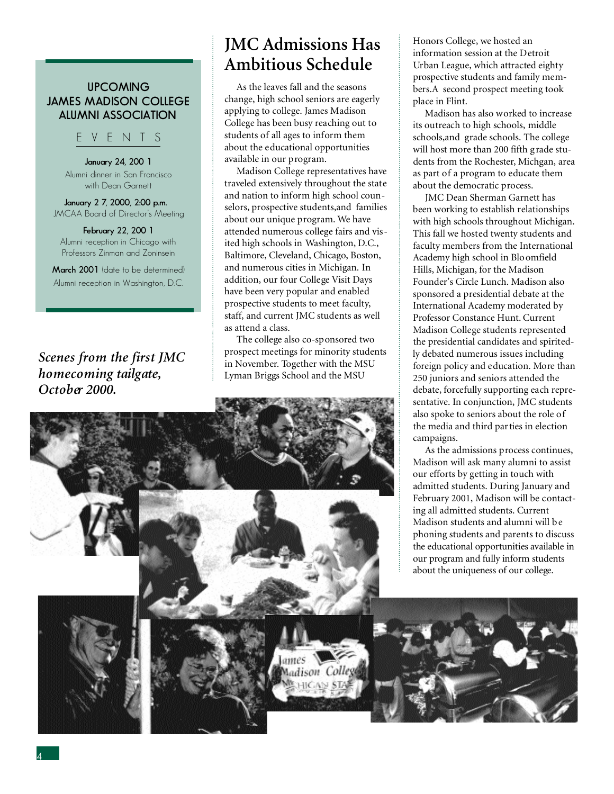#### **UPCOMING JAMES MADISON COLLEGE ALUMNI ASSOCIATION**

#### E V E N T S

**January 24, 200 1** Alumni dinner in San Francisco with Dean Garnett

**January 2 7, 2000, 2:00 p.m.** JMCAA Board of Director's Meeting

**February 22, 200 1** Alumni reception in Chicago with Professors Zinman and Zoninsein

**March 2001** (date to be determined) Alumni reception in Washington, D.C.

*Scenes from the first JMC homecoming tailgate, October 2000.*

## **JMC Admissions Has Ambitious Schedule**

As the leaves fall and the seasons change, high school seniors are eagerly applying to college. James Madison College has been busy reaching out to students of all ages to inform them about the educational opportunities available in our program.

Madison College representatives have traveled extensively throughout the state and nation to inform high school counselors, prospective students,and families about our unique program. We have attended numerous college fairs and visited high schools in Washington, D.C., Baltimore, Cleveland, Chicago, Boston, and numerous cities in Michigan. In addition, our four College Visit Days have been very popular and enabled prospective students to meet faculty, staff, and current JMC students as well as attend a class.

The college also co-sponsored two prospect meetings for minority students in November. Together with the MSU Lyman Briggs School and the MSU

Honors College, we hosted an information session at the Detroit Urban League, which attracted eighty prospective students and family members.A second prospect meeting took place in Flint.

Madison has also worked to increase its outreach to high schools, middle schools,and grade schools. The college will host more than 200 fifth grade students from the Rochester, Michgan, area as part of a program to educate them about the democratic process.

JMC Dean Sherman Garnett has been working to establish relationships with high schools throughout Michigan. This fall we hosted twenty students and faculty members from the International Academy high school in Bloomfield Hills, Michigan, for the Madison Founder's Circle Lunch. Madison also sponsored a presidential debate at the International Academy moderated by Professor Constance Hunt. Current Madison College students represented the presidential candidates and spiritedly debated numerous issues including foreign policy and education. More than 250 juniors and seniors attended the debate, forcefully supporting each representative. In conjunction, JMC students also spoke to seniors about the role of the media and third parties in election campaigns.

As the admissions process continues, Madison will ask many alumni to assist our efforts by getting in touch with admitted students. During January and February 2001, Madison will be contacting all admitted students. Current Madison students and alumni will b e phoning students and parents to discuss the educational opportunities available in our program and fully inform students about the uniqueness of our college.

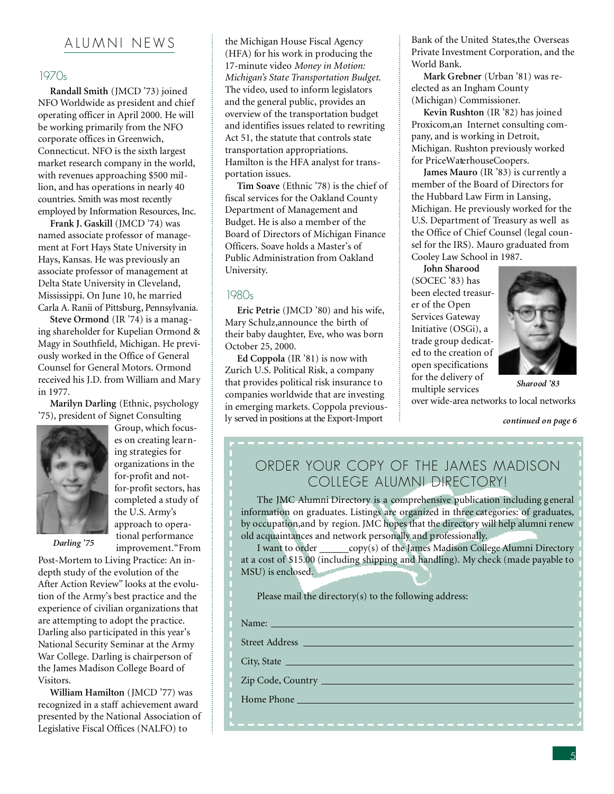### A LU M N I N E W S

#### 1970s

**Randall Smith** (JMCD '73) joined NFO Worldwide as president and chief operating officer in April 2000. He will be working primarily from the NFO corporate offices in Greenwich, Connecticut. NFO is the sixth largest market research company in the world, with revenues approaching \$500 million, and has operations in nearly 40 countries. Smith was most recently employed by Information Resources, Inc.

**Frank J. Gaskill** (JMCD '74) was named associate professor of management at Fort Hays State University in Hays, Kansas. He was previously an associate professor of management at Delta State University in Cleveland, Mississippi. On June 10, he married Carla A. Ranii of Pittsburg, Pennsylvania.

**Steve Ormond** (IR '74) is a managing shareholder for Kupelian Ormond & Magy in Southfield, Michigan. He previously worked in the Office of General Counsel for General Motors. Ormond received his J.D. from William and Mary in 1977.

**Marilyn Darling** (Ethnic, psychology '75), president of Signet Consulting



Group, which focuses on creating learning strategies for organizations in the for-profit and notfor-profit sectors, has completed a study of the U.S. Army's approach to operational performance improvement."From

*Darling '75*

Post-Mortem to Living Practice: An indepth study of the evolution of the After Action Review" looks at the evolution of the Army's best practice and the experience of civilian organizations that are attempting to adopt the practice. Darling also participated in this year's National Security Seminar at the Army War College. Darling is chairperson of the James Madison College Board of Visitors.

**William Hamilton** (JMCD '77) was recognized in a staff achievement award presented by the National Association of Legislative Fiscal Offices (NALFO) to

the Michigan House Fiscal Agency (HFA) for his work in producing the 17-minute video *Money in Motion: Michigan's State Transportation Budget*. The video, used to inform legislators and the general public, provides an overview of the transportation budget and identifies issues related to rewriting Act 51, the statute that controls state transportation appropriations. Hamilton is the HFA analyst for transportation issues.

**Tim Soave** (Ethnic '78) is the chief of fiscal services for the Oakland County Department of Management and Budget. He is also a member of the Board of Directors of Michigan Finance Officers. Soave holds a Master's of Public Administration from Oakland University.

#### 1980s

**Eric Petrie** (JMCD '80) and his wife, Mary Schulz,announce the birth of their baby daughter, Eve, who was born October 25, 2000.

**Ed Coppola** (IR '81) is now with Zurich U.S. Political Risk, a company that provides political risk insurance to companies worldwide that are investing in emerging markets. Coppola previously served in positions at the Export-Import

Bank of the United States,the Overseas Private Investment Corporation, and the World Bank.

**Mark Grebner** (Urban '81) was reelected as an Ingham County (Michigan) Commissioner.

**Kevin Rushton** (IR '82) has joined Proxicom,an Internet consulting company, and is working in Detroit, Michigan. Rushton previously worked for PriceWaterhouseCoopers.

**James Mauro** (IR '83) is currently a member of the Board of Directors for the Hubbard Law Firm in Lansing, Michigan. He previously worked for the U.S. Department of Treasury as well as the Office of Chief Counsel (legal counsel for the IRS). Mauro graduated from Cooley Law School in 1987.

**John Sharood** (SOCEC '83) has been elected treasurer of the Open Services Gateway Initiative (OSGi), a trade group dedicated to the creation of open specifications for the delivery of multiple services



*Sharood '83*

over wide-area networks to local networks

*continued on page 6*

### ORDER YOUR COPY OF THE JAMES MADISON COLLEGE ALUMNI DIRECTORY!

The JMC Alumni Directory is a comprehensive publication including g eneral information on graduates. Listings are organized in three categories: of graduates, by occupation,and by region. JMC hopes that the directory will help alumni renew old acquaintances and network personally and professionally.

I want to order  $\qquad \text{copy}(s)$  of the James Madison College Alumni Directory at a cost of \$15.00 (including shipping and handling). My check (made payable to MSU) is enclosed.

Please mail the directory(s) to the following address:

Street Address

City, State

Zip Code, Country

Home Phone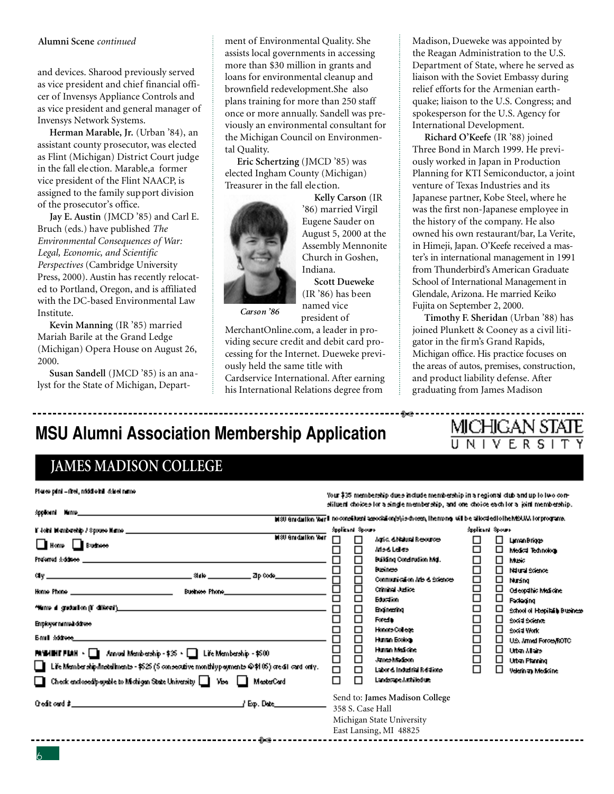#### **Alumni Scene** *continued*

and devices. Sharood previously served as vice president and chief financial officer of Invensys Appliance Controls and as vice president and general manager of Invensys Network Systems.

**Herman Marable, Jr.** (Urban '84), an assistant county prosecutor, was elected as Flint (Michigan) District Court judge in the fall election. Marable,a former vice president of the Flint NAACP, is assigned to the family support division of the prosecutor's office.

**Jay E. Austin** (JMCD '85) and Carl E. Bruch (eds.) have published *The Environmental Consequences of War: Legal, Economic, and Scientific Perspectives* (Cambridge University Press, 2000). Austin has recently relocated to Portland, Oregon, and is affiliated with the DC-based Environmental Law Institute.

**Kevin Manning** (IR '85) married Mariah Barile at the Grand Ledge (Michigan) Opera House on August 26, 2000.

**Susan Sandell** (JMCD '85) is an analyst for the State of Michigan, Depart-

ment of Environmental Quality. She assists local governments in accessing more than \$30 million in grants and loans for environmental cleanup and brownfield redevelopment.She also plans training for more than 250 staff once or more annually. Sandell was previously an environmental consultant for the Michigan Council on Environmental Quality.

**Eric Schertzing** (JMCD '85) was elected Ingham County (Michigan) Treasurer in the fall election.



**Kelly Carson** (IR '86) married Virgil Eugene Sauder on August 5, 2000 at the Assembly Mennonite Church in Goshen, Indiana. **Scott Dueweke**

(IR '86) has been named vice

⊶⊶⊷

*Carson '86*

president of MerchantOnline.com, a leader in providing secure credit and debit card processing for the Internet. Dueweke previously held the same title with Cardservice International. After earning his International Relations degree from

Madison, Dueweke was appointed by the Reagan Administration to the U.S. Department of State, where he served as liaison with the Soviet Embassy during relief efforts for the Armenian earthquake; liaison to the U.S. Congress; and spokesperson for the U.S. Agency for International Development.

**Richard O'Keefe** (IR '88) joined Three Bond in March 1999. He previously worked in Japan in Production Planning for KTI Semiconductor, a joint venture of Texas Industries and its Japanese partner, Kobe Steel, where he was the first non-Japanese employee in the history of the company. He also owned his own restaurant/bar, La Verite, in Himeji, Japan. O'Keefe received a master's in international management in 1991 from Thunderbird's American Graduate School of International Management in Glendale, Arizona. He married Keiko Fujita on September 2, 2000.

**Timothy F. Sheridan** (Urban '88) has joined Plunkett & Cooney as a civil litigator in the firm's Grand Rapids, Michigan office. His practice focuses on the areas of autos, premises, construction, and product liability defense. After graduating from James Madison

MICHIGAN STATE

UNIVERSI

## **MSU Alumni Association Membership Application**

## **JAMES MADISON COLLEGE**

| Plates print - firel, middle inil & itel name.                                                                                                                                                                                                                                                                                                                                                                                                                                                                                                  |                                                 |                                                                                                           | Your‡35 membership dues include membership in a regional club and up to lwo con-                                                                                                                                                                                                                                                    |                                                                                 |                                           |                                                                                                                                                                                                                                                                                      |
|-------------------------------------------------------------------------------------------------------------------------------------------------------------------------------------------------------------------------------------------------------------------------------------------------------------------------------------------------------------------------------------------------------------------------------------------------------------------------------------------------------------------------------------------------|-------------------------------------------------|-----------------------------------------------------------------------------------------------------------|-------------------------------------------------------------------------------------------------------------------------------------------------------------------------------------------------------------------------------------------------------------------------------------------------------------------------------------|---------------------------------------------------------------------------------|-------------------------------------------|--------------------------------------------------------------------------------------------------------------------------------------------------------------------------------------------------------------------------------------------------------------------------------------|
|                                                                                                                                                                                                                                                                                                                                                                                                                                                                                                                                                 |                                                 |                                                                                                           | stiluent choices for a single membership, and one choice each for a joint membership. I<br>hisu em dullon Var II no constituent association/s/ris drossn, themong, will be allocated to the MSUM. For programs,                                                                                                                     |                                                                                 |                                           |                                                                                                                                                                                                                                                                                      |
| <b>M80 Graduation War</b><br>Home <b>Bushess</b><br>Home Phone <b>Home and Committee Phone Advanced</b><br>Business Phone<br>"Nume al graduation (1) diferent' <u>s contracts and contracts are contracted</u> and contracts and<br>Employer namedi ddress<br>Emil <i>iddress</i><br>MWHITFIAH - I Annual Membership - \$% - I Life Membership - \$500<br>$\Box$ Life Membership (netallments - \$525 (5 consecutive monthly payments $@$ \$105) credit card only.<br>□ Check enclosed payable to Michigan State University □ Visa □ MasterCard | 0000<br>□<br>□<br>20<br>20<br>20<br>$\Box$<br>п | Spolicent Spours<br>п<br>□<br>□<br>8<br>$\Box$<br>□<br>□<br>□<br>$\Box$<br>$\Box$<br>$\Box$<br>□<br>п     | Agric, & Natural Resources<br>Mod Lelles<br>Building Conditudion Mgl.<br><b>Business</b><br>Communication Arts & Sciences<br><b>Criminal Judice</b><br><b>Education</b><br><b>Broinwring</b><br>Forein<br>Honors College<br>Human Bookogy<br>Human Medicine<br>James Madeon<br>Labor & Industrial Relations<br>Landscape Antifedium | Spolicent Spours<br>□<br>□<br>□<br>0000<br>□<br>□<br>8<br>0<br>$\Box$<br>□<br>⊓ | □<br>□<br>⊔<br>□<br>□<br>□<br>□<br>⊔<br>◻ | LimanBriggs<br>Medical Technology<br>Music<br>Natural Stience<br>Nursing<br>Odleopábic Medicine<br><b>Redeging</b><br>School of Hopital's Busines<br>Social Science<br>Social Work<br>U.S. Armed Forces/ROTC<br><b>Urban Allaire</b><br><b>Urban Planning</b><br>Velerin an Medicine |
| ∦ Eφ. Dete_<br>-≫-                                                                                                                                                                                                                                                                                                                                                                                                                                                                                                                              |                                                 | Send to: James Madison College<br>358 S. Case Hall<br>Michigan State University<br>East Lansing, MI 48825 |                                                                                                                                                                                                                                                                                                                                     |                                                                                 |                                           |                                                                                                                                                                                                                                                                                      |
|                                                                                                                                                                                                                                                                                                                                                                                                                                                                                                                                                 |                                                 |                                                                                                           |                                                                                                                                                                                                                                                                                                                                     |                                                                                 |                                           |                                                                                                                                                                                                                                                                                      |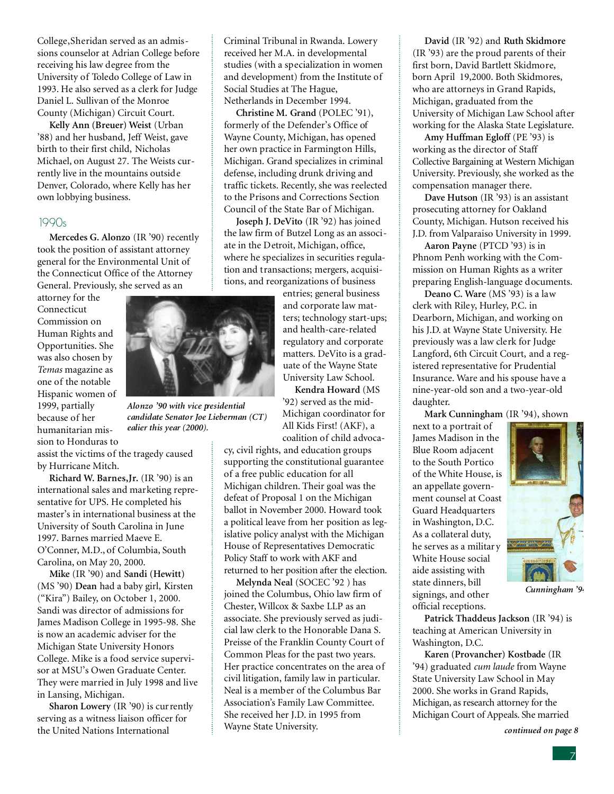College,Sheridan served as an admissions counselor at Adrian College before receiving his law degree from the University of Toledo College of Law in 1993. He also served as a clerk for Judge Daniel L. Sullivan of the Monroe County (Michigan) Circuit Court.

**Kelly Ann (Breuer) Weist** (Urban '88) and her husband, Jeff Weist, gave birth to their first child, Nicholas Michael, on August 27. The Weists currently live in the mountains outside Denver, Colorado, where Kelly has her own lobbying business.

#### 1990s

**Mercedes G. Alonzo** (IR '90) recently took the position of assistant attorney general for the Environmental Unit of the Connecticut Office of the Attorney General. Previously, she served as an

attorney for the Connecticut Commission on Human Rights and Opportunities. She was also chosen by *Temas* magazine as one of the notable Hispanic women of 1999, partially because of her humanitarian mission to Honduras to

assist the victims of the tragedy caused by Hurricane Mitch.

**Richard W. Barnes,Jr.** (IR '90) is an international sales and marketing representative for UPS. He completed his master's in international business at the University of South Carolina in June 1997. Barnes married Maeve E. O'Conner, M.D., of Columbia, South Carolina, on May 20, 2000.

**Mike** (IR '90) and **Sandi (Hewitt)** (MS '90) **Dean** had a baby girl, Kirsten ("Kira") Bailey, on October 1, 2000. Sandi was director of admissions for James Madison College in 1995-98. She is now an academic adviser for the Michigan State University Honors College. Mike is a food service supervisor at MSU's Owen Graduate Center. They were married in July 1998 and live in Lansing, Michigan.

**Sharon Lowery** (IR '90) is currently serving as a witness liaison officer for the United Nations International

Criminal Tribunal in Rwanda. Lowery received her M.A. in developmental studies (with a specialization in women and development) from the Institute of Social Studies at The Hague, Netherlands in December 1994.

**Christine M. Grand** (POLEC '91), formerly of the Defender's Office of Wayne County, Michigan, has opened her own practice in Farmington Hills, Michigan. Grand specializes in criminal defense, including drunk driving and traffic tickets. Recently, she was reelected to the Prisons and Corrections Section Council of the State Bar of Michigan.

**Joseph J. DeVito** (IR '92) has joined the law firm of Butzel Long as an associate in the Detroit, Michigan, office, where he specializes in securities regulation and transactions; mergers, acquisitions, and reorganizations of business

> entries; general business and corporate law matters; technology start-ups; and health-care-related regulatory and corporate matters. DeVito is a graduate of the Wayne State University Law School.

**Kendra Howard** (MS '92) served as the mid-Michigan coordinator for All Kids First! (AKF), a coalition of child advoca-

cy, civil rights, and education groups supporting the constitutional guarantee of a free public education for all Michigan children. Their goal was the defeat of Proposal 1 on the Michigan ballot in November 2000. Howard took a political leave from her position as legislative policy analyst with the Michigan House of Representatives Democratic Policy Staff to work with AKF and returned to her position after the election.

**Melynda Neal** (SOCEC '92 ) has joined the Columbus, Ohio law firm of Chester, Willcox & Saxbe LLP as an associate. She previously served as judicial law clerk to the Honorable Dana S. Preisse of the Franklin County Court of Common Pleas for the past two years. Her practice concentrates on the area of civil litigation, family law in particular. Neal is a member of the Columbus Bar Association's Family Law Committee. She received her J.D. in 1995 from Wayne State University.

**David** (IR '92) and **Ruth Skidmore** (IR '93) are the proud parents of their first born, David Bartlett Skidmore, born April 19,2000. Both Skidmores, who are attorneys in Grand Rapids, Michigan, graduated from the University of Michigan Law School after working for the Alaska State Legislature.

**Amy Huffman Egloff** (PE '93) is working as the director of Staff Collective Bargaining at Western Michigan University. Previously, she worked as the compensation manager there.

**Dave Hutson** (IR '93) is an assistant prosecuting attorney for Oakland County, Michigan. Hutson received his J.D. from Valparaiso University in 1999.

**Aaron Payne** (PTCD '93) is in Phnom Penh working with the Commission on Human Rights as a writer preparing English-language documents.

**Deano C. Ware** (MS '93) is a law clerk with Riley, Hurley, P.C. in Dearborn, Michigan, and working on his J.D. at Wayne State University. He previously was a law clerk for Judge Langford, 6th Circuit Court, and a registered representative for Prudential Insurance. Ware and his spouse have a nine-year-old son and a two-year-old daughter.

**Mark Cunningham** (IR '94), shown

next to a portrait of James Madison in the Blue Room adjacent to the South Portico of the White House, is an appellate government counsel at Coast Guard Headquarters in Washington, D.C. As a collateral duty, he serves as a militar y White House social aide assisting with state dinners, bill signings, and other official receptions.

**Patrick Thaddeus Jackson** (IR '94) is teaching at American University in Washington, D.C.

**Karen (Provancher) Kostbade** (IR '94) graduated *cum laude* from Wayne State University Law School in May 2000. She works in Grand Rapids, Michigan, as research attorney for the Michigan Court of Appeals. She married

*continued on page 8*

*Cunningham '94*



*ealier this year (2000).*

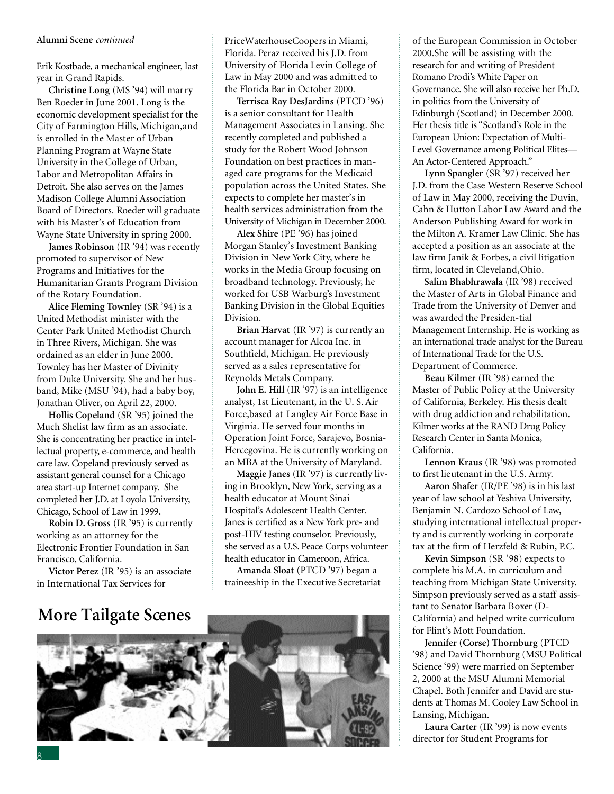#### **Alumni Scene** *continued*

Erik Kostbade, a mechanical engineer, last year in Grand Rapids.

**Christine Long** (MS '94) will marry Ben Roeder in June 2001. Long is the economic development specialist for the City of Farmington Hills, Michigan,and is enrolled in the Master of Urban Planning Program at Wayne State University in the College of Urban, Labor and Metropolitan Affairs in Detroit. She also serves on the James Madison College Alumni Association Board of Directors. Roeder will graduate with his Master's of Education from Wayne State University in spring 2000.

**James Robinson** (IR '94) was recently promoted to supervisor of New Programs and Initiatives for the Humanitarian Grants Program Division of the Rotary Foundation.

**Alice Fleming Townley** (SR '94) is a United Methodist minister with the Center Park United Methodist Church in Three Rivers, Michigan. She was ordained as an elder in June 2000. Townley has her Master of Divinity from Duke University. She and her husband, Mike (MSU '94), had a baby boy, Jonathan Oliver, on April 22, 2000.

**Hollis Copeland** (SR '95) joined the Much Shelist law firm as an associate. She is concentrating her practice in intellectual property, e-commerce, and health care law. Copeland previously served as assistant general counsel for a Chicago area start-up Internet company. She completed her J.D. at Loyola University, Chicago, School of Law in 1999.

**Robin D. Gross** (IR '95) is currently working as an attorney for the Electronic Frontier Foundation in San Francisco, California.

**Victor Perez** (IR '95) is an associate in International Tax Services for

## **More Tailgate Scenes**



**Terrisca Ray DesJardins** (PTCD '96) is a senior consultant for Health Management Associates in Lansing. She recently completed and published a study for the Robert Wood Johnson Foundation on best practices in managed care programs for the Medicaid population across the United States. She expects to complete her master's in health services administration from the University of Michigan in December 2000.

**Alex Shire** (PE '96) has joined Morgan Stanley's Investment Banking Division in New York City, where he works in the Media Group focusing on broadband technology. Previously, he worked for USB Warburg's Investment Banking Division in the Global Equities Division.

**Brian Harvat** (IR '97) is currently an account manager for Alcoa Inc. in Southfield, Michigan. He previously served as a sales representative for Reynolds Metals Company.

**John E. Hill** (IR '97) is an intelligence analyst, 1st Lieutenant, in the U. S. Air Force,based at Langley Air Force Base in Virginia. He served four months in Operation Joint Force, Sarajevo, Bosnia-Hercegovina. He is currently working on an MBA at the University of Maryland.

**Maggie Janes** (IR '97) is currently living in Brooklyn, New York, serving as a health educator at Mount Sinai Hospital's Adolescent Health Center. Janes is certified as a New York pre- and post-HIV testing counselor. Previously, she served as a U.S. Peace Corps volunteer health educator in Cameroon, Africa.

**Amanda Sloat** (PTCD '97) began a traineeship in the Executive Secretariat



of the European Commission in October 2000.She will be assisting with the research for and writing of President Romano Prodi's White Paper on Governance. She will also receive her Ph.D. in politics from the University of Edinburgh (Scotland) in December 2000. Her thesis title is "Scotland's Role in the European Union: Expectation of Multi-Level Governance among Political Elites-An Actor-Centered Approach."

**Lynn Spangler** (SR '97) received her J.D. from the Case Western Reserve School of Law in May 2000, receiving the Duvin, Cahn & Hutton Labor Law Award and the Anderson Publishing Award for work in the Milton A. Kramer Law Clinic. She has accepted a position as an associate at the law firm Janik & Forbes, a civil litigation firm, located in Cleveland,Ohio.

**Salim Bhabhrawala** (IR '98) received the Master of Arts in Global Finance and Trade from the University of Denver and was awarded the Presiden-tial Management Internship. He is working as an international trade analyst for the Bureau of International Trade for the U.S. Department of Commerce.

**Beau Kilmer** (IR '98) earned the Master of Public Policy at the University of California, Berkeley. His thesis dealt with drug addiction and rehabilitation. Kilmer works at the RAND Drug Policy Research Center in Santa Monica, California.

**Lennon Kraus** (IR '98) was promoted to first lieutenant in the U.S. Army.

**Aaron Shafer** (IR/PE '98) is in his last year of law school at Yeshiva University, Benjamin N. Cardozo School of Law, studying international intellectual property and is currently working in corporate tax at the firm of Herzfeld & Rubin, P.C.

**Kevin Simpson** (SR '98) expects to complete his M.A. in curriculum and teaching from Michigan State University. Simpson previously served as a staff assistant to Senator Barbara Boxer (D-California) and helped write curriculum for Flint's Mott Foundation.

**Jennifer (Corse) Thornburg** (PTCD '98) and David Thornburg (MSU Political Science '99) were married on September 2, 2000 at the MSU Alumni Memorial Chapel. Both Jennifer and David are students at Thomas M. Cooley Law School in Lansing, Michigan.

**Laura Carter** (IR '99) is now events director for Student Programs for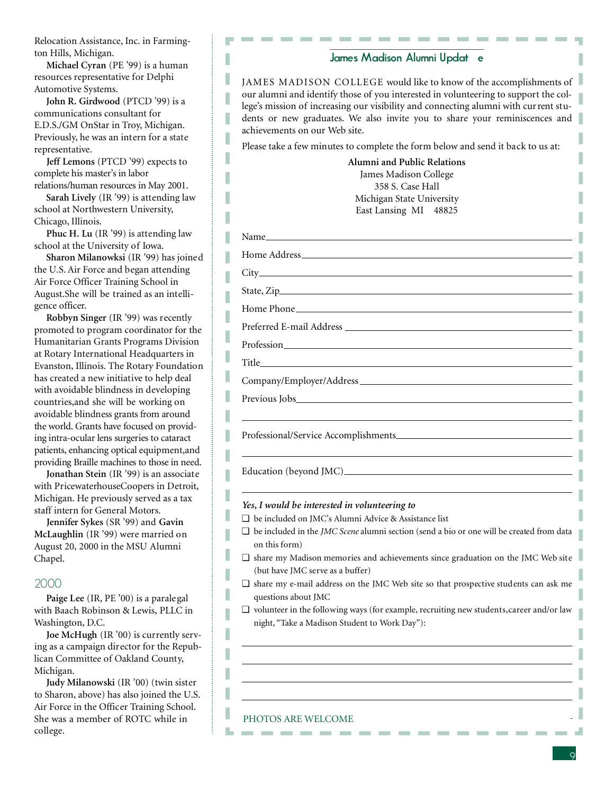Relocation Assistance, Inc. in Farmington Hills, Michigan.

**Michael Cyran** (PE '99) is a human resources representative for Delphi Automotive Systems.

I I

I I

I I I

**John R. Girdwood** (PTCD '99) is a communications consultant for E.D.S./GM OnStar in Troy, Michigan. Previously, he was an intern for a state representative.

**Jeff Lemons** (PTCD '99) expects to complete his master's in labor relations/human resources in May 2001.

**Sarah Lively** (IR '99) is attending law school at Northwestern University, Chicago, Illinois.

**Phuc H. Lu** (IR '99) is attending law school at the University of Iowa.

**Sharon Milanowksi** (IR '99) has joined the U.S. Air Force and began attending Air Force Officer Training School in August.She will be trained as an intelligence officer.

**Robbyn Singer** (IR '99) was recently promoted to program coordinator for the Humanitarian Grants Programs Division at Rotary International Headquarters in Evanston, Illinois. The Rotary Foundation has created a new initiative to help deal with avoidable blindness in developing countries,and she will be working on avoidable blindness grants from around the world. Grants have focused on providing intra-ocular lens surgeries to cataract patients, enhancing optical equipment, and providing Braille machines to those in need.

**Jonathan Stein** (IR '99) is an associate with PricewaterhouseCoopers in Detroit, Michigan. He previously served as a tax staff intern for General Motors.

**Jennifer Sykes** (SR '99) and **Gavin McLaughlin** (IR '99) were married on August 20, 2000 in the MSU Alumni Chapel.

#### 2000

**Paige Lee** (IR, PE '00) is a paralegal with Baach Robinson & Lewis, PLLC in Washington, D.C.

**Joe McHugh** (IR '00) is currently serving as a campaign director for the Republican Committee of Oakland County, Michigan.

**Judy Milanowski** (IR '00) (twin sister to Sharon, above) has also joined the U.S. Air Force in the Officer Training School. She was a mem ber of ROTC while in college.

#### **James Madison Alumni Updat e**

JAMES MADISON COLLEGE would like to know of the accomplishments of our alumni and identify those of you interested in volunteering to support the college's mission of increasing our visibility and connecting alumni with cur rent students or new graduates. We also invite you to share your reminiscences and achievements on our Web site.

Please take a few minutes to complete the form below and send it back to us at:

**Alumni and Public Relations** James Madison College 358 S. Case Hall Michigan State University East Lansing MI 48825

| $\Box$ be included in the <i>JMC Scene</i> alumni section (send a bio or one will be created from data |
|--------------------------------------------------------------------------------------------------------|
| $\Box$ share my Madison memories and achievements since graduation on the JMC Web site                 |
|                                                                                                        |
| $\Box$ share my e-mail address on the JMC Web site so that prospective students can ask me             |
| $\Box$ volunteer in the following ways (for example, recruiting new students, career and/or law        |
|                                                                                                        |

#### PHOTOS ARE WELCOME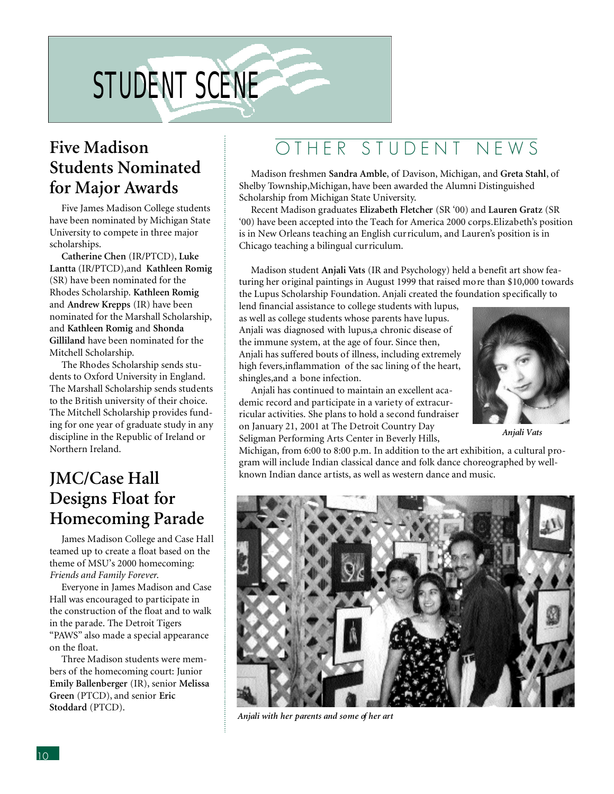# STUDENT SCENE

## **Five Madison Students Nominated for Major Awards**

Five James Madison College students have been nominated by Michigan State University to compete in three major scholarships.

**Catherine Chen** (IR/PTCD), **Luke Lantta** (IR/PTCD),and **Kathleen Romig** (SR) have been nominated for the Rhodes Scholarship. **Kathleen Romig** and **Andrew Krepps** (IR) have been nominated for the Marshall Scholarship, and **Kathleen Romig** and **Shonda Gilliland** have been nominated for the Mitchell Scholarship.

The Rhodes Scholarship sends students to Oxford University in England. The Marshall Scholarship sends students to the British university of their choice. The Mitchell Scholarship provides funding for one year of graduate study in any discipline in the Republic of Ireland or Northern Ireland.

## **JMC/Case Hall Designs Float for Homecoming Parade**

James Madison College and Case Hall teamed up to create a float based on the theme of MSU's 2000 homecoming: *Friends and Family Forever*.

Everyone in James Madison and Case Hall was encouraged to participate in the construction of the float and to walk in the parade. The Detroit Tigers "PAWS" also made a special appearance on the float.

Three Madison students were members of the homecoming court: Junior **Emily Ballenberger** (IR), senior **Melissa Green** (PTCD), and senior **Eric Stoddard** (PTCD).

## OTHER STUDENT NEWS

Madison freshmen **Sandra Amble**, of Davison, Michigan, and **Greta Stahl**, of Shelby Township,Michigan, have been awarded the Alumni Distinguished Scholarship from Michigan State University.

Recent Madison graduates **Elizabeth Fletcher** (SR '00) and **Lauren Gratz** (SR '00) have been accepted into the Teach for America 2000 corps.Elizabeth's position is in New Orleans teaching an English curriculum, and Lauren's position is in Chicago teaching a bilingual curriculum.

Madison student **Anjali Vats** (IR and Psychology) held a benefit art show featuring her original paintings in August 1999 that raised more than \$10,000 towards the Lupus Scholarship Foundation. Anjali created the foundation specifically to

lend financial assistance to college students with lupus, as well as college students whose parents have lupus. Anjali was diagnosed with lupus,a chronic disease of the immune system, at the age of four. Since then, Anjali has suffered bouts of illness, including extremely high fevers,inflammation of the sac lining of the heart, shingles,and a bone infection.

Anjali has continued to maintain an excellent academic record and participate in a variety of extracurricular activities. She plans to hold a second fundraiser on January 21, 2001 at The Detroit Country Day Seligman Performing Arts Center in Beverly Hills,



*Anjali Vats*

Michigan, from 6:00 to 8:00 p.m. In addition to the art exhibition, a cultural program will include Indian classical dance and folk dance choreographed by wellknown Indian dance artists, as well as western dance and music.



*Anjali with her parents and some of her art*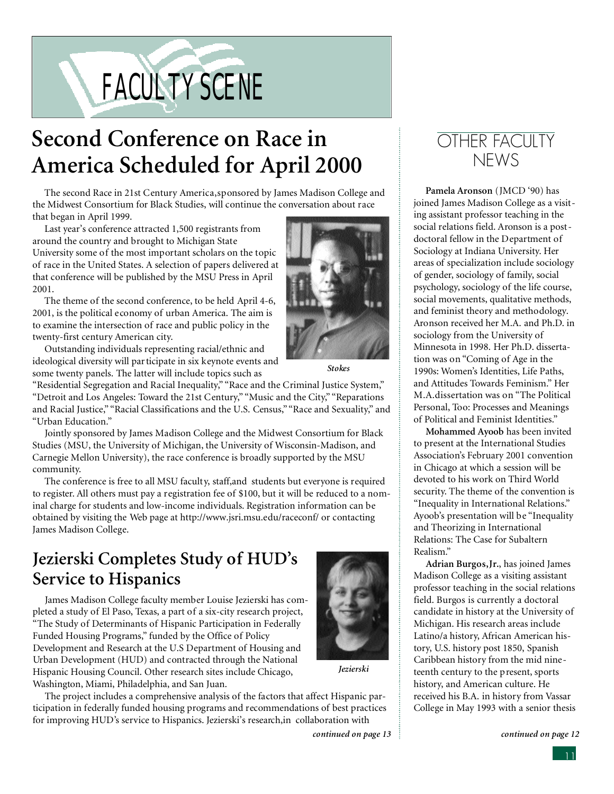# FACULTY SCENE

# **Second Conference on Race in America Scheduled for April 2000**

The second Race in 21st Century America,sponsored by James Madison College and the Midwest Consortium for Black Studies, will continue the conversation about race that began in April 1999.

Last year's conference attracted 1,500 registrants from around the country and brought to Michigan State University some of the most important scholars on the topic of race in the United States. A selection of papers delivered at that conference will be published by the MSU Press in April 2001.

The theme of the second conference, to be held April 4-6, 2001, is the political economy of urban America. The aim is to examine the intersection of race and public policy in the twenty-first century American city.

Outstanding individuals representing racial/ethnic and ideological diversity will par ticipate in six keynote events and some twenty panels. The latter will include topics such as

"Residential Segregation and Racial Inequality," "Race and the Criminal Justice System," "Detroit and Los Angeles: Toward the 21st Century," "Music and the City," "Reparations and Racial Justice," "Racial Classifications and the U.S. Census," "Race and Sexuality," and "Urban Education."

Jointly sponsored by James Madison College and the Midwest Consortium for Black Studies (MSU, the University of Michigan, the University of Wisconsin-Madison, and Carnegie Mellon University), the race conference is broadly supported by the MSU community.

The conference is free to all MSU faculty, staff,and students but everyone is required to register. All others must pay a registration fee of \$100, but it will be reduced to a nominal charge for students and low-income individuals. Registration information can be obtained by visiting the Web page at http://www.jsri.msu.edu/raceconf/ or contacting James Madison College.

## **Jezierski Completes Study of HUD's Service to Hispanics**

James Madison College faculty member Louise Jezierski has completed a study of El Paso, Texas, a part of a six-city research project, "The Study of Determinants of Hispanic Participation in Federally Funded Housing Programs," funded by the Office of Policy Development and Research at the U.S Department of Housing and Urban Development (HUD) and contracted through the National Hispanic Housing Council. Other research sites include Chicago, Washington, Miami, Philadelphia, and San Juan.

The project includes a comprehensive analysis of the factors that affect Hispanic participation in federally funded housing programs and recommendations of best practices for improving HUD's service to Hispanics. Jezierski's research,in collaboration with

*Jezierski*



**Pamela Aronson** (JMCD '90) has joined James Madison College as a visiting assistant professor teaching in the social relations field. Aronson is a postdoctoral fellow in the Department of Sociology at Indiana University. Her areas of specialization include sociology of gender, sociology of family, social psychology, sociology of the life course, social movements, qualitative methods, and feminist theory and methodology. Aronson received her M.A. and Ph.D. in sociology from the University of Minnesota in 1998. Her Ph.D. dissertation was on "Coming of Age in the 1990s: Women's Identities, Life Paths, and Attitudes Towards Feminism." Her M.A.dissertation was on "The Political Personal, Too: Processes and Meanings of Political and Feminist Identities."

**Mohammed Ayoob** has been invited to present at the International Studies Association's February 2001 convention in Chicago at which a session will be devoted to his work on Third World security. The theme of the convention is "Inequality in International Relations." Ayoob's presentation will be "Inequality and Theorizing in International Relations: The Case for Subaltern Realism."

**Adrian Burgos,Jr.**, has joined James Madison College as a visiting assistant professor teaching in the social relations field. Burgos is currently a doctoral candidate in history at the University of Michigan. His research areas include Latino/a history, African American history, U.S. history post 1850, Spanish Caribbean history from the mid nineteenth century to the present, sports history, and American culture. He received his B.A. in history from Vassar College in May 1993 with a senior thesis



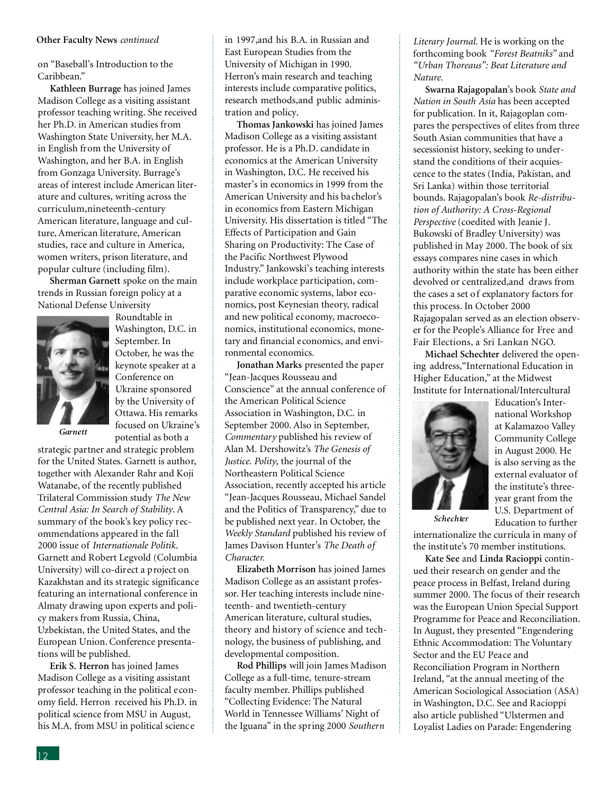#### **Other Faculty News** *continued*

on "Baseball's Introduction to the Caribbean."

**Kathleen Burrage** has joined James Madison College as a visiting assistant professor teaching writing. She received her Ph.D. in American studies from Washington State University, her M.A. in English from the University of Washington, and her B.A. in English from Gonzaga University. Burrage's areas of interest include American literature and cultures, writing across the curriculum,nineteenth-century American literature, language and culture, American literature, American studies, race and culture in America, women writers, prison literature, and popular culture (including film).

**Sherman Garnett** spoke on the main trends in Russian foreign policy at a National Defense University



Roundtable in Washington, D.C. in September. In October, he was the keynote speaker at a Conference on Ukraine sponsored by the University of Ottawa. His remarks focused on Ukraine's potential as both a

*Garnett*

strategic partner and strategic problem for the United States. Garnett is author, together with Alexander Rahr and Koji Watanabe, of the recently published Trilateral Commission study *The New Central Asia: In Search of Stability*. A summary of the book's key policy recommendations appeared in the fall 2000 issue of *Internationale Politik*. Garnett and Robert Legvold (Columbia University) will co-direct a project on Kazakhstan and its strategic significance featuring an international conference in Almaty drawing upon experts and policy makers from Russia, China, Uzbekistan, the United States, and the European Union. Conference presentations will be published.

**Erik S. Herron** has joined James Madison College as a visiting assistant professor teaching in the political economy field. Herron received his Ph.D. in political science from MSU in August, his M.A. from MSU in political science

in 1997,and his B.A. in Russian and East European Studies from the University of Michigan in 1990. Herron's main research and teaching interests include comparative politics, research methods,and public administration and policy.

**Thomas Jankowski** has joined James Madison College as a visiting assistant professor. He is a Ph.D. candidate in economics at the American University in Washington, D.C. He received his master's in economics in 1999 from the American University and his bachelor's in economics from Eastern Michigan University. His dissertation is titled "The Effects of Participation and Gain Sharing on Productivity: The Case of the Pacific Northwest Plywood Industry." Jankowski's teaching interests include workplace participation, comparative economic systems, labor economics, post Keynesian theory, radical and new political economy, macroeconomics, institutional economics, monetary and financial economics, and environmental economics.

**Jonathan Marks** presented the paper "Jean-Jacques Rousseau and Conscience" at the annual conference of the American Political Science Association in Washington, D.C. in September 2000. Also in September, *Commentary* published his review of Alan M. Dershowitz's *The Genesis of Justice*. *Polity*, the journal of the Northeastern Political Science Association, recently accepted his article "Jean-Jacques Rousseau, Michael Sandel and the Politics of Transparency," due to be published next year. In October, the *Weekly Standard* published his review of James Davison Hunter's *The Death of Character.*

**Elizabeth Morrison** has joined James Madison College as an assistant professor. Her teaching interests include nineteenth- and twentieth-century American literature, cultural studies, theory and history of science and technology, the business of publishing, and developmental composition.

**Rod Phillips** will join James Madison College as a full-time, tenure-stream faculty member. Phillips published "Collecting Evidence: The Natural World in Tennessee Williams' Night of the Iguana" in the spring 2000 *Southern*

*Literary Journal*. He is working on the forthcoming book *"Forest Beatniks"* and *"Urban Thoreaus": Beat Literature and Nature.*

**Swarna Rajagopalan**'s book *State and Nation in South Asia* has been accepted for publication. In it, Rajagoplan compares the perspectives of elites from three South Asian communities that have a secessionist history, seeking to understand the conditions of their acquiescence to the states (India, Pakistan, and Sri Lanka) within those territorial bounds. Rajagopalan's book *Re-distribution of Authority: A Cross-Regional Perspective* (coedited with Jeanie J. Bukowski of Bradley University) was published in May 2000. The book of six essays compares nine cases in which authority within the state has been either devolved or centralized,and draws from the cases a set of explanatory factors for this process. In October 2000 Rajagopalan served as an election observer for the People's Alliance for Free and Fair Elections, a Sri Lankan NGO.

**Michael Schechter** delivered the opening address,"International Education in Higher Education," at the Midwest Institute for International/Intercultural



Education's International Workshop at Kalamazoo Valley Community College in August 2000. He is also serving as the external evaluator of the institute's threeyear grant from the U.S. Department of Education to further

*Schechter*

internationalize the curricula in many of the institute's 70 member institutions.

**Kate See** and **Linda Racioppi** continued their research on gender and the peace process in Belfast, Ireland during summer 2000. The focus of their research was the European Union Special Support Programme for Peace and Reconciliation. In August, they presented "Engendering Ethnic Accommodation: The Voluntary Sector and the EU Peace and Reconciliation Program in Northern Ireland, "at the annual meeting of the American Sociological Association (ASA) in Washington, D.C. See and Racioppi also article published "Ulstermen and Loyalist Ladies on Parade: Engendering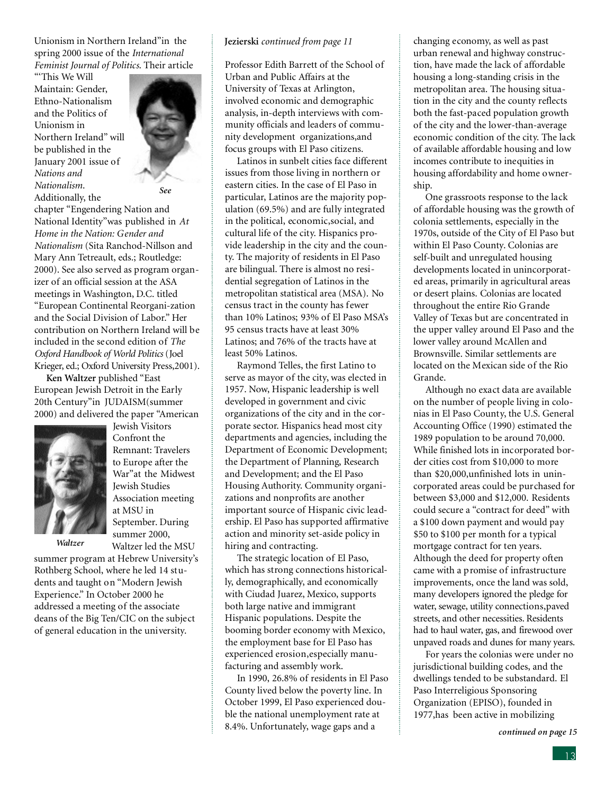Unionism in Northern Ireland"in the spring 2000 issue of the *International Feminist Journal of Politics*. Their article

"'This We Will Maintain: Gender, Ethno-Nationalism and the Politics of Unionism in Northern Ireland" will be published in the January 2001 issue of *Nations and Nationalism*.



Additionally, the

chapter "Engendering Nation and National Identity"was published in *At Home in the Nation: Gender and Nationalism* (Sita Ranchod-Nillson and Mary Ann Tetreault, eds.; Routledge: 2000). See also served as program organizer of an official session at the ASA meetings in Washington, D.C. titled "European Continental Reorgani-zation and the Social Division of Labor." Her contribution on Northern Ireland will be included in the second edition of *The* Oxford Handbook of World Politics (Joel Krieger, ed.; Oxford University Press, 2001).

**Ken Waltzer** published "East European Jewish Detroit in the Early 20th Century"in JUDAISM(summer 2000) and delivered the paper "American



Jewish Visitors Confront the Remnant: Travelers to Europe after the War"at the Midwest Jewish Studies Association meeting at MSU in September. During summer 2000, Waltzer led the MSU

*Waltzer*

summer program at Hebrew University's Rothberg School, where he led 14 students and taught on "Modern Jewish Experience." In October 2000 he addressed a meeting of the associate deans of the Big Ten/CIC on the subject of general education in the university.

#### **Jezierski** *continued from page 11*

Professor Edith Barrett of the School of Urban and Public Affairs at the University of Texas at Arlington, involved economic and demographic analysis, in-depth interviews with community officials and leaders of community development organizations,and focus groups with El Paso citizens.

Latinos in sunbelt cities face different issues from those living in northern or eastern cities. In the case of El Paso in particular, Latinos are the majority population (69.5%) and are fully integrated in the political, economic,social, and cultural life of the city. Hispanics provide leadership in the city and the county. The majority of residents in El Paso are bilingual. There is almost no residential segregation of Latinos in the metropolitan statistical area (MSA). No census tract in the county has fewer than 10% Latinos; 93% of El Paso MSA's 95 census tracts have at least 30% Latinos; and 76% of the tracts have at least 50% Latinos.

Raymond Telles, the first Latino to serve as mayor of the city, was elected in 1957. Now, Hispanic leadership is well developed in government and civic organizations of the city and in the corporate sector. Hispanics head most city departments and agencies, including the Department of Economic Development; the Department of Planning, Research and Development; and the El Paso Housing Authority. Community organizations and nonprofits are another important source of Hispanic civic leadership. El Paso has supported affirmative action and minority set-aside policy in hiring and contracting.

The strategic location of El Paso, which has strong connections historically, demographically, and economically with Ciudad Juarez, Mexico, supports both large native and immigrant Hispanic populations. Despite the booming border economy with Mexico, the employment base for El Paso has experienced erosion,especially manufacturing and assembly work.

In 1990, 26.8% of residents in El Paso County lived below the poverty line. In October 1999, El Paso experienced double the national unemployment rate at 8.4%. Unfortunately, wage gaps and a

changing economy, as well as past urban renewal and highway construction, have made the lack of affordable housing a long-standing crisis in the metropolitan area. The housing situation in the city and the county reflects both the fast-paced population growth of the city and the lower-than-average economic condition of the city. The lack of available affordable housing and low incomes contribute to inequities in housing affordability and home ownership.

One grassroots response to the lack of affordable housing was the growth of colonia settlements, especially in the 1970s, outside of the City of El Paso but within El Paso County. Colonias are self-built and unregulated housing developments located in unincorporated areas, primarily in agricultural areas or desert plains. Colonias are located throughout the entire Rio Grande Valley of Texas but are concentrated in the upper valley around El Paso and the lower valley around McAllen and Brownsville. Similar settlements are located on the Mexican side of the Rio Grande.

Although no exact data are available on the number of people living in colonias in El Paso County, the U.S. General Accounting Office (1990) estimated the 1989 population to be around 70,000. While finished lots in incorporated border cities cost from \$10,000 to more than \$20,000,unfinished lots in unincorporated areas could be purchased for between \$3,000 and \$12,000. Residents could secure a "contract for deed" with a \$100 down payment and would pay \$50 to \$100 per month for a typical mortgage contract for ten years. Although the deed for property often came with a promise of infrastructure improvements, once the land was sold, many developers ignored the pledge for water, sewage, utility connections, paved streets, and other necessities. Residents had to haul water, gas, and firewood over unpaved roads and dunes for many years.

For years the colonias were under no jurisdictional building codes, and the dwellings tended to be substandard. El Paso Interreligious Sponsoring Organization (EPISO), founded in 1977,has been active in mobilizing

*continued on page 15*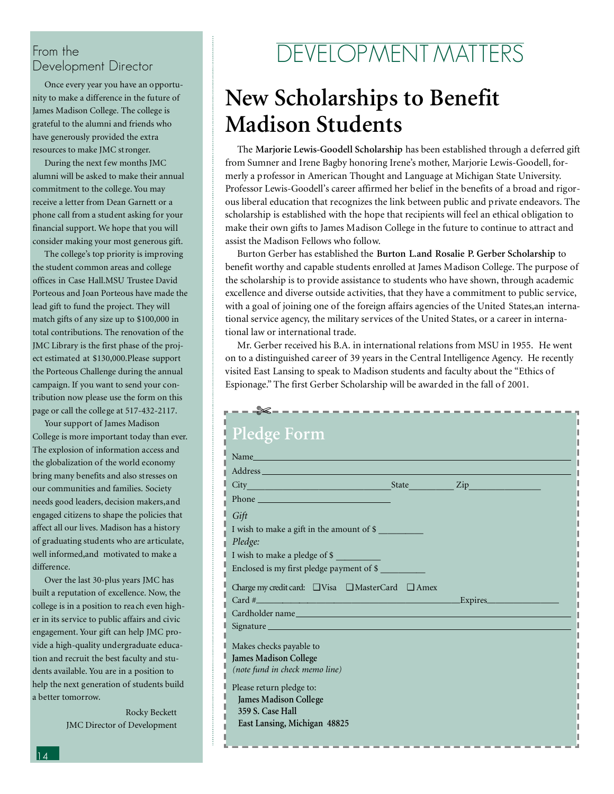### From the Development Director

Once every year you have an opportunity to make a difference in the future of James Madison College. The college is grateful to the alumni and friends who have generously provided the extra resources to make JMC stronger.

During the next few months JMC alumni will be asked to make their annual commitment to the college. You may receive a letter from Dean Garnett or a phone call from a student asking for your financial support. We hope that you will consider making your most generous gift.

The college's top priority is improving the student common areas and college offices in Case Hall.MSU Trustee David Porteous and Joan Porteous have made the lead gift to fund the project. They will match gifts of any size up to \$100,000 in total contributions. The renovation of the JMC Library is the first phase of the project estimated at \$130,000.Please support the Porteous Challenge during the annual campaign. If you want to send your contribution now please use the form on this page or call the college at 517-432-2117.

Your support of James Madison College is more important today than ever. The explosion of information access and the globalization of the world economy bring many benefits and also stresses on our communities and families. Society needs good leaders, decision makers,and engaged citizens to shape the policies that affect all our lives. Madison has a history of graduating students who are articulate, well informed,and motivated to make a difference.

Over the last 30-plus years JMC has built a reputation of excellence. Now, the college is in a position to reach even higher in its service to public affairs and civic engagement. Your gift can help JMC provide a high-quality undergraduate education and recruit the best faculty and students available. You are in a position to help the next generation of students build a better tomorrow.

> Rocky Beckett JMC Director of Development

# DEVELOPMENT MATTERS

# **New Scholarships to Benefit Madison Students**

The **Marjorie Lewis-Goodell Scholarship** has been established through a deferred gift from Sumner and Irene Bagby honoring Irene's mother, Marjorie Lewis-Goodell, formerly a professor in American Thought and Language at Michigan State University. Professor Lewis-Goodell's career affirmed her belief in the benefits of a broad and rigorous liberal education that recognizes the link between public and private endeavors. The scholarship is established with the hope that recipients will feel an ethical obligation to make their own gifts to James Madison College in the future to continue to attract and assist the Madison Fellows who follow.

Burton Gerber has established the **Burton L.and Rosalie P. Gerber Scholarship** to benefit worthy and capable students enrolled at James Madison College. The purpose of the scholarship is to provide assistance to students who have shown, through academic excellence and diverse outside activities, that they have a commitment to public service, with a goal of joining one of the foreign affairs agencies of the United States,an international service agency, the military services of the United States, or a career in international law or international trade.

Mr. Gerber received his B.A. in international relations from MSU in 1955. He went on to a distinguished career of 39 years in the Central Intelligence Agency. He recently visited East Lansing to speak to Madison students and faculty about the "Ethics of Espionage." The first Gerber Scholarship will be awarded in the fall of 2001.

| --- <del>X---------------------------</del> --                                                                                                                                                                                 |  |
|--------------------------------------------------------------------------------------------------------------------------------------------------------------------------------------------------------------------------------|--|
| Pledge Form                                                                                                                                                                                                                    |  |
| Name and the state of the state of the state of the state of the state of the state of the state of the state of the state of the state of the state of the state of the state of the state of the state of the state of the s |  |
|                                                                                                                                                                                                                                |  |
|                                                                                                                                                                                                                                |  |
| Phone <u>Communications</u>                                                                                                                                                                                                    |  |
| Gift                                                                                                                                                                                                                           |  |
| I wish to make a gift in the amount of \$                                                                                                                                                                                      |  |
| Pledge:                                                                                                                                                                                                                        |  |
| I wish to make a pledge of \$                                                                                                                                                                                                  |  |
| Enclosed is my first pledge payment of \$                                                                                                                                                                                      |  |
| Charge my credit card: □ Visa □ MasterCard □ Amex                                                                                                                                                                              |  |
| Card $\#$ Expires Expires                                                                                                                                                                                                      |  |
|                                                                                                                                                                                                                                |  |
|                                                                                                                                                                                                                                |  |
| Makes checks payable to                                                                                                                                                                                                        |  |
| James Madison College                                                                                                                                                                                                          |  |
| (note fund in check memo line)                                                                                                                                                                                                 |  |
| Please return pledge to:                                                                                                                                                                                                       |  |
| James Madison College                                                                                                                                                                                                          |  |
| 359 S. Case Hall                                                                                                                                                                                                               |  |
| East Lansing, Michigan 48825                                                                                                                                                                                                   |  |
|                                                                                                                                                                                                                                |  |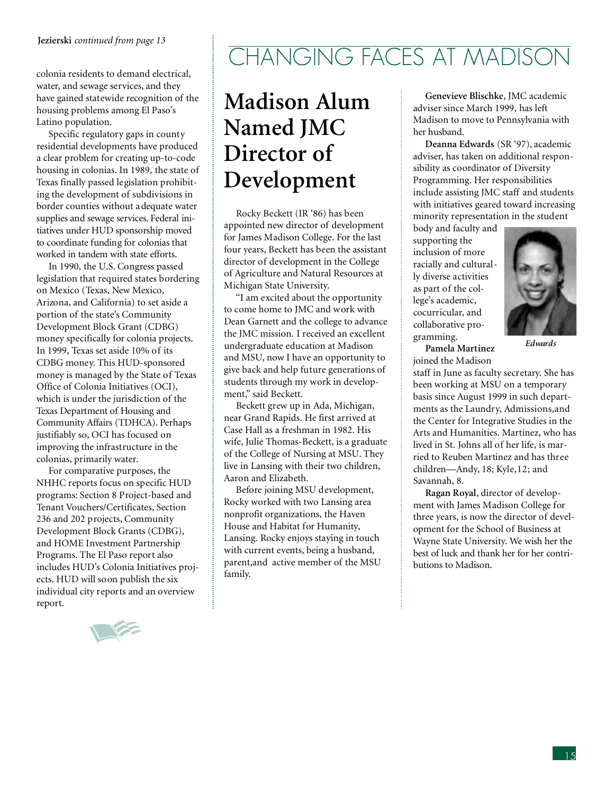colonia residents to demand electrical, water, and sewage services, and they have gained statewide recognition of the housing problems among El Paso's Latino population.

Specific regulatory gaps in county residential developments have produced a clear problem for creating up-to-code housing in colonias. In 1989, the state of Texas finally passed legislation prohibiting the development of subdivisions in border counties without adequate water supplies and sewage services. Federal initiatives under HUD sponsorship moved to coordinate funding for colonias that worked in tandem with state efforts.

In 1990, the U.S. Congress passed legislation that required states bordering on Mexico (Texas, New Mexico, Arizona, and California) to set aside a portion of the state's Community Development Block Grant (CDBG) money specifically for colonia projects. In 1999, Texas set aside 10% of its CDBG money. This HUD-sponsored money is managed by the State of Texas Office of Colonia Initiatives (OCI), which is under the jurisdiction of the Texas Department of Housing and Community Affairs (TDHCA). Perhaps justifiably so, OCI has focused on improving the infrastructure in the colonias, primarily water.

For comparative purposes, the NHHC reports focus on specific HUD programs: Section 8 Project-based and Tenant Vouchers/Certificates, Section 236 and 202 projects, Community Development Block Grants (CDBG), and HOME Investment Partnership Programs. The El Paso report also includes HUD's Colonia Initiatives projects. HUD will soon publish the six individual city reports and an overview report.



# **Madison Alum Named JMC Director of Development**

Rocky Beckett (IR '86) has been appointed new director of development for James Madison College. For the last four years, Beckett has been the assistant director of development in the College of Agriculture and Natural Resources at Michigan State University.

"I am excited about the opportunity to come home to JMC and work with Dean Garnett and the college to advance the JMC mission. I received an excellent undergraduate education at Madison and MSU, now I have an opportunity to give back and help future generations of students through my work in development," said Beckett.

Beckett grew up in Ada, Michigan, near Grand Rapids. He first arrived at Case Hall as a freshman in 1982. His wife, Julie Thomas-Beckett, is a graduate of the College of Nursing at MSU. They live in Lansing with their two children, Aaron and Elizabeth.

Before joining MSU development, Rocky worked with two Lansing area nonprofit organizations, the Haven House and Habitat for Humanity, Lansing. Rocky enjoys staying in touch with current events, being a husband, parent,and active member of the MSU family.

**Genevieve Blischke**, JMC academic adviser since March 1999, has left Madison to move to Pennsylvania with her husband.

**Deanna Edwards** (SR '97), academic adviser, has taken on additional responsibility as coordinator of Diversity Programming. Her responsibilities include assisting JMC staff and students with initiatives geared toward increasing minority representation in the student

body and faculty and supporting the inclusion of more racially and culturally diverse activities as part of the college's academic, cocurricular, and collaborative programming.



*Edwards*

**Pamela Martinez** joined the Madison

staff in June as faculty secretary. She has been working at MSU on a temporary basis since August 1999 in such departments as the Laundry, Admissions,and the Center for Integrative Studies in the Arts and Humanities. Martinez, who has lived in St. Johns all of her life, is married to Reuben Martinez and has three children—Andy, 18; Kyle,12; and Savannah, 8.

**Ragan Royal**, director of development with James Madison College for three years, is now the director of development for the School of Business at Wayne State University. We wish her the best of luck and thank her for her contributions to Madison.